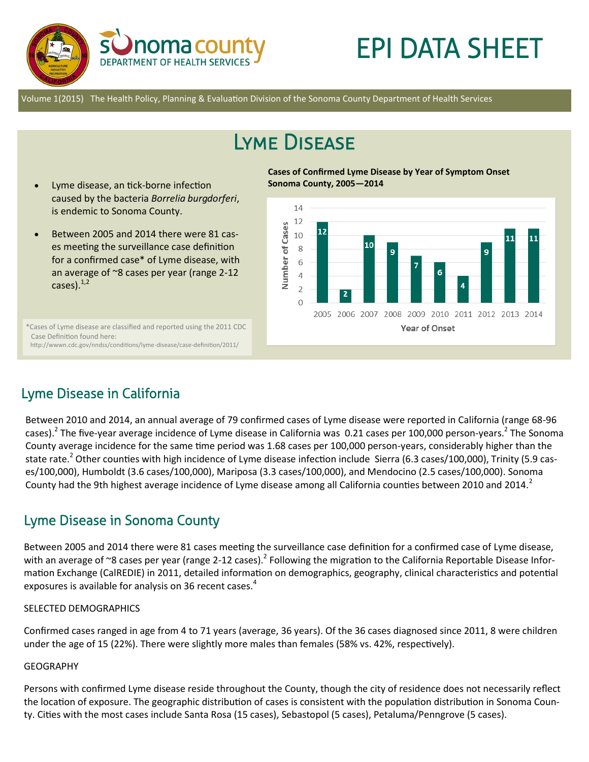

# EPI DATA SHEET

Volume 1(2015) The Health Policy, Planning & Evaluation Division of the Sonoma County Department of Health Services

## Lyme Disease

**Sonoma County, 2005—2014**

- Lyme disease, an tick-borne infection caused by the bacteria *Borrelia burgdorferi*, is endemic to Sonoma County.
- Between 2005 and 2014 there were 81 cases meeting the surveillance case definition for a confirmed case\* of Lyme disease, with an average of ~8 cases per year (range 2-12 cases). $^{1,2}$

\*Cases of Lyme disease are classified and reported using the 2011 CDC Case Definition found here: http://wwwn.cdc.gov/nndss/conditions/lyme-disease/case-definition/2011/

14

**Cases of Confirmed Lyme Disease by Year of Symptom Onset** 



## Lyme Disease in California

Between 2010 and 2014, an annual average of 79 confirmed cases of Lyme disease were reported in California (range 68-96 cases).<sup>2</sup> The five-year average incidence of Lyme disease in California was 0.21 cases per 100,000 person-years.<sup>2</sup> The Sonoma County average incidence for the same time period was 1.68 cases per 100,000 person-years, considerably higher than the state rate.<sup>2</sup> Other counties with high incidence of Lyme disease infection include Sierra (6.3 cases/100,000), Trinity (5.9 cases/100,000), Humboldt (3.6 cases/100,000), Mariposa (3.3 cases/100,000), and Mendocino (2.5 cases/100,000). Sonoma County had the 9th highest average incidence of Lyme disease among all California counties between 2010 and 2014.

## Lyme Disease in Sonoma County

Between 2005 and 2014 there were 81 cases meeting the surveillance case definition for a confirmed case of Lyme disease, with an average of ~8 cases per year (range 2-12 cases).<sup>2</sup> Following the migration to the California Reportable Disease Information Exchange (CalREDIE) in 2011, detailed information on demographics, geography, clinical characteristics and potential exposures is available for analysis on 36 recent cases.<sup>4</sup>

#### SELECTED DEMOGRAPHICS

Confirmed cases ranged in age from 4 to 71 years (average, 36 years). Of the 36 cases diagnosed since 2011, 8 were children under the age of 15 (22%). There were slightly more males than females (58% vs. 42%, respectively).

#### GEOGRAPHY

Persons with confirmed Lyme disease reside throughout the County, though the city of residence does not necessarily reflect the location of exposure. The geographic distribution of cases is consistent with the population distribution in Sonoma County. Cities with the most cases include Santa Rosa (15 cases), Sebastopol (5 cases), Petaluma/Penngrove (5 cases).